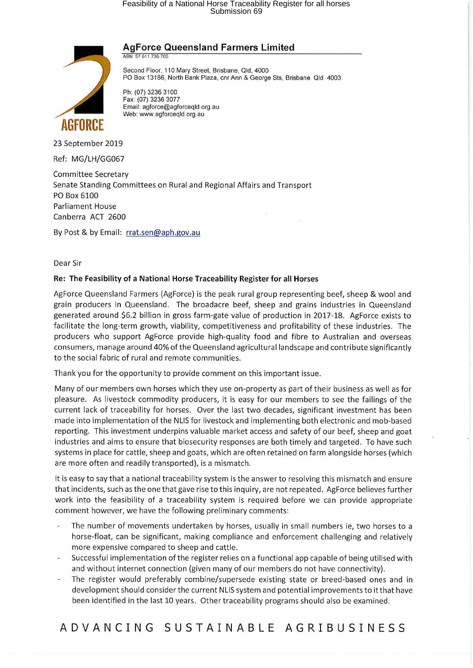# Feasibility of a National Horse Traceability Register for all horses Submission 69



**AgForce Queensland Farmers Limited** ABN 57 611 736 700

Second Floor, 110 Mary Street, Brisbane, Old, 4000 PO Box 13186, North Bank Plaza, cnr Ann & George Sts, Brisbane Old 4003

Ph: (07) 3236 3100 Fax: (07) 3236 3077 Email: agforce@agforceqld.org.au Web: www.agforceqld.org.au

23 September 2019

Ref: MG/LH/GG067

Committee Secretary Senate Standing Committees on Rural and Regional Affairs and Transport PO Box 6100 Parliament House Canberra ACT 2600

By Post & by Email: rrat.sen@aph.gov.au

Dear Sir

#### **Re: The Feasibility of a National Horse Traceability Register for all Horses**

AgForce Queensland Farmers (AgForce) is the peak rural group representing beef, sheep & wool and grain producers in Queensland. The broadacre beef, sheep and grains industries in Queensland generated around \$6.2 billion in gross farm-gate value of production in 2017-18. AgForce exists to facilitate the long-term growth, viability, competitiveness and profitability of these industries. The producers who support AgForce provide high-quality food and fibre to Australian and overseas consumers, manage around 40% of the Queensland agricultural landscape and contribute significantly to the social fabric of rural and remote communities.

Thank you for the opportunity to provide comment on this important issue.

Many of our members own horses which they use on-property as part of their business as well as for pleasure. As livestock commodity producers, it is easy for our members to see the failings of the current lack of traceability for horses. Over the last two decades, significant investment has been made into implementation of the NLIS for livestock and implementing both electronic and mob-based reporting. This investment underpins valuable market access and safety of our beef, sheep and goat industries and aims to ensure that biosecurity responses are both timely and targeted. To have such systems in place for cattle, sheep and goats, which are often retained on farm alongside horses (which are more often and readily transported), is a mismatch.

It is easy to say that a national traceability system is the answer to resolving this mismatch and ensure that incidents, such as the one that gave rise to this inquiry, are not repeated. AgForce believes further work into the feasibility of a traceability system is required before we can provide appropriate comment however, we have the following preliminary comments:

- The number of movements undertaken by horses, usually in small numbers ie, two horses to a horse-float, can be significant, making compliance and enforcement challenging and relatively more expensive compared to sheep and cattle.
- Successful implementation of the register relies on a functional app capable of being utilised with and without internet connection (given many of our members do not have connectivity).
- The register would preferably combine/supersede existing state or breed-based ones and in development should consider the current NLIS system and potential improvements to it that have been identified in the last 10 years. Other traceability programs should also be examined.

**ADVANCING SUSTAINABLE AGRIBUSINESS**